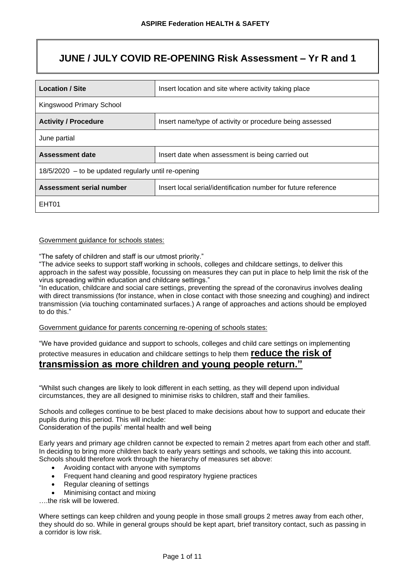# **JUNE / JULY COVID RE-OPENING Risk Assessment – Yr R and 1**

| <b>Location / Site</b><br>Insert location and site where activity taking place |                                                                |  |  |  |  |
|--------------------------------------------------------------------------------|----------------------------------------------------------------|--|--|--|--|
| Kingswood Primary School                                                       |                                                                |  |  |  |  |
| <b>Activity / Procedure</b>                                                    | Insert name/type of activity or procedure being assessed       |  |  |  |  |
| June partial                                                                   |                                                                |  |  |  |  |
| <b>Assessment date</b>                                                         | Insert date when assessment is being carried out               |  |  |  |  |
| $18/5/2020$ – to be updated regularly until re-opening                         |                                                                |  |  |  |  |
| Assessment serial number                                                       | Insert local serial/identification number for future reference |  |  |  |  |
| EHT01                                                                          |                                                                |  |  |  |  |

### Government guidance for schools states:

"The safety of children and staff is our utmost priority."

"The advice seeks to support staff working in schools, colleges and childcare settings, to deliver this approach in the safest way possible, focussing on measures they can put in place to help limit the risk of the virus spreading within education and childcare settings."

"In education, childcare and social care settings, preventing the spread of the coronavirus involves dealing with direct transmissions (for instance, when in close contact with those sneezing and coughing) and indirect transmission (via touching contaminated surfaces.) A range of approaches and actions should be employed to do this."

Government guidance for parents concerning re-opening of schools states:

"We have provided guidance and support to schools, colleges and child care settings on implementing protective measures in education and childcare settings to help them **reduce the risk of transmission as more children and young people return."**

"Whilst such changes are likely to look different in each setting, as they will depend upon individual circumstances, they are all designed to minimise risks to children, staff and their families.

Schools and colleges continue to be best placed to make decisions about how to support and educate their pupils during this period. This will include:

Consideration of the pupils' mental health and well being

Early years and primary age children cannot be expected to remain 2 metres apart from each other and staff. In deciding to bring more children back to early years settings and schools, we taking this into account. Schools should therefore work through the hierarchy of measures set above:

- Avoiding contact with anyone with symptoms
- Frequent hand cleaning and good respiratory hygiene practices
- Regular cleaning of settings
- Minimising contact and mixing

….the risk will be lowered.

Where settings can keep children and young people in those small groups 2 metres away from each other, they should do so. While in general groups should be kept apart, brief transitory contact, such as passing in a corridor is low risk.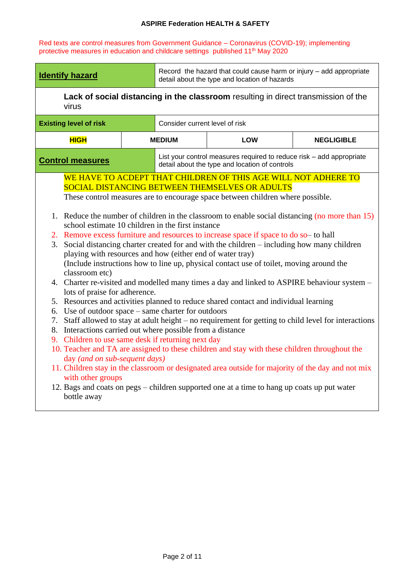Red texts are control measures from Government Guidance – Coronavirus (COVID-19); implementing protective measures in education and childcare settings published 11<sup>th</sup> May 2020

| Record the hazard that could cause harm or injury - add appropriate<br><b>Identify hazard</b><br>detail about the type and location of hazards                                                                                                                                                                                                                                                                                                                                                                                                                                                                                                                                                                                                                                                                                                                                                                                                                                                                                                                                                                                                                                                                                                                                                                                                                                                                                                                                                                                                                                                                                         |  |                                |                                                                                                                        |                   |
|----------------------------------------------------------------------------------------------------------------------------------------------------------------------------------------------------------------------------------------------------------------------------------------------------------------------------------------------------------------------------------------------------------------------------------------------------------------------------------------------------------------------------------------------------------------------------------------------------------------------------------------------------------------------------------------------------------------------------------------------------------------------------------------------------------------------------------------------------------------------------------------------------------------------------------------------------------------------------------------------------------------------------------------------------------------------------------------------------------------------------------------------------------------------------------------------------------------------------------------------------------------------------------------------------------------------------------------------------------------------------------------------------------------------------------------------------------------------------------------------------------------------------------------------------------------------------------------------------------------------------------------|--|--------------------------------|------------------------------------------------------------------------------------------------------------------------|-------------------|
| virus                                                                                                                                                                                                                                                                                                                                                                                                                                                                                                                                                                                                                                                                                                                                                                                                                                                                                                                                                                                                                                                                                                                                                                                                                                                                                                                                                                                                                                                                                                                                                                                                                                  |  |                                | Lack of social distancing in the classroom resulting in direct transmission of the                                     |                   |
| <b>Existing level of risk</b>                                                                                                                                                                                                                                                                                                                                                                                                                                                                                                                                                                                                                                                                                                                                                                                                                                                                                                                                                                                                                                                                                                                                                                                                                                                                                                                                                                                                                                                                                                                                                                                                          |  | Consider current level of risk |                                                                                                                        |                   |
| <b>HIGH</b>                                                                                                                                                                                                                                                                                                                                                                                                                                                                                                                                                                                                                                                                                                                                                                                                                                                                                                                                                                                                                                                                                                                                                                                                                                                                                                                                                                                                                                                                                                                                                                                                                            |  | <b>MEDIUM</b>                  | <b>LOW</b>                                                                                                             | <b>NEGLIGIBLE</b> |
| <b>Control measures</b>                                                                                                                                                                                                                                                                                                                                                                                                                                                                                                                                                                                                                                                                                                                                                                                                                                                                                                                                                                                                                                                                                                                                                                                                                                                                                                                                                                                                                                                                                                                                                                                                                |  |                                | List your control measures required to reduce risk - add appropriate<br>detail about the type and location of controls |                   |
| WE HAVE TO ACDEPT THAT CHILDREN OF THIS AGE WILL NOT ADHERE TO<br><b>SOCIAL DISTANCING BETWEEN THEMSELVES OR ADULTS</b><br>These control measures are to encourage space between children where possible.<br>1. Reduce the number of children in the classroom to enable social distancing (no more than 15)<br>school estimate 10 children in the first instance<br>2. Remove excess furniture and resources to increase space if space to do so- to hall<br>Social distancing charter created for and with the children – including how many children<br>3.<br>playing with resources and how (either end of water tray)<br>(Include instructions how to line up, physical contact use of toilet, moving around the<br>classroom etc)<br>4. Charter re-visited and modelled many times a day and linked to ASPIRE behaviour system -<br>lots of praise for adherence.<br>5. Resources and activities planned to reduce shared contact and individual learning<br>Use of outdoor space – same charter for outdoors<br>6.<br>Staff allowed to stay at adult height – no requirement for getting to child level for interactions<br>7.<br>Interactions carried out where possible from a distance<br>8.<br>9. Children to use same desk if returning next day<br>10. Teacher and TA are assigned to these children and stay with these children throughout the<br>day (and on sub-sequent days)<br>11. Children stay in the classroom or designated area outside for majority of the day and not mix<br>with other groups<br>12. Bags and coats on pegs - children supported one at a time to hang up coats up put water<br>bottle away |  |                                |                                                                                                                        |                   |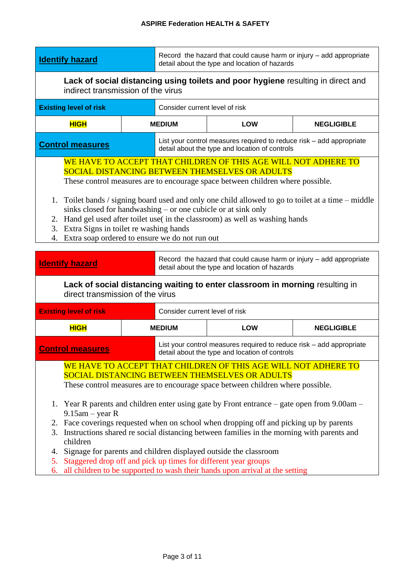| <b>Identify hazard</b>                                                                                                                                                                                                                                                                                                                                                                                                                                                                                                                                            |                                    | Record the hazard that could cause harm or injury - add appropriate<br>detail about the type and location of hazards                                                                                                                                                                                                                                                                                                                                                                     |                   |  |  |  |
|-------------------------------------------------------------------------------------------------------------------------------------------------------------------------------------------------------------------------------------------------------------------------------------------------------------------------------------------------------------------------------------------------------------------------------------------------------------------------------------------------------------------------------------------------------------------|------------------------------------|------------------------------------------------------------------------------------------------------------------------------------------------------------------------------------------------------------------------------------------------------------------------------------------------------------------------------------------------------------------------------------------------------------------------------------------------------------------------------------------|-------------------|--|--|--|
|                                                                                                                                                                                                                                                                                                                                                                                                                                                                                                                                                                   | indirect transmission of the virus | Lack of social distancing using toilets and poor hygiene resulting in direct and                                                                                                                                                                                                                                                                                                                                                                                                         |                   |  |  |  |
| <b>Existing level of risk</b>                                                                                                                                                                                                                                                                                                                                                                                                                                                                                                                                     | Consider current level of risk     |                                                                                                                                                                                                                                                                                                                                                                                                                                                                                          |                   |  |  |  |
| <b>HIGH</b>                                                                                                                                                                                                                                                                                                                                                                                                                                                                                                                                                       | <b>MEDIUM</b>                      | <b>LOW</b>                                                                                                                                                                                                                                                                                                                                                                                                                                                                               | <b>NEGLIGIBLE</b> |  |  |  |
| <b>Control measures</b>                                                                                                                                                                                                                                                                                                                                                                                                                                                                                                                                           |                                    | List your control measures required to reduce risk – add appropriate<br>detail about the type and location of controls                                                                                                                                                                                                                                                                                                                                                                   |                   |  |  |  |
| WE HAVE TO ACCEPT THAT CHILDREN OF THIS AGE WILL NOT ADHERE TO<br>SOCIAL DISTANCING BETWEEN THEMSELVES OR ADULTS<br>These control measures are to encourage space between children where possible.<br>1. Toilet bands / signing board used and only one child allowed to go to toilet at a time – middle<br>sinks closed for handwashing – or one cubicle or at sink only<br>2. Hand gel used after toilet use(in the classroom) as well as washing hands<br>Extra Signs in toilet re washing hands<br>3.<br>Extra soap ordered to ensure we do not run out<br>4. |                                    |                                                                                                                                                                                                                                                                                                                                                                                                                                                                                          |                   |  |  |  |
|                                                                                                                                                                                                                                                                                                                                                                                                                                                                                                                                                                   |                                    |                                                                                                                                                                                                                                                                                                                                                                                                                                                                                          |                   |  |  |  |
| <b>Identify hazard</b>                                                                                                                                                                                                                                                                                                                                                                                                                                                                                                                                            |                                    | Record the hazard that could cause harm or injury - add appropriate<br>detail about the type and location of hazards                                                                                                                                                                                                                                                                                                                                                                     |                   |  |  |  |
| direct transmission of the virus                                                                                                                                                                                                                                                                                                                                                                                                                                                                                                                                  |                                    | Lack of social distancing waiting to enter classroom in morning resulting in                                                                                                                                                                                                                                                                                                                                                                                                             |                   |  |  |  |
| <b>Existing level of risk</b>                                                                                                                                                                                                                                                                                                                                                                                                                                                                                                                                     | Consider current level of risk     |                                                                                                                                                                                                                                                                                                                                                                                                                                                                                          |                   |  |  |  |
| <b>HIGH</b>                                                                                                                                                                                                                                                                                                                                                                                                                                                                                                                                                       | <b>MEDIUM</b>                      | <b>LOW</b>                                                                                                                                                                                                                                                                                                                                                                                                                                                                               | <b>NEGLIGIBLE</b> |  |  |  |
| <b>Control measures</b>                                                                                                                                                                                                                                                                                                                                                                                                                                                                                                                                           |                                    | List your control measures required to reduce risk - add appropriate<br>detail about the type and location of controls                                                                                                                                                                                                                                                                                                                                                                   |                   |  |  |  |
| $9.15$ am – year R<br>3.<br>children<br>Signage for parents and children displayed outside the classroom<br>4.                                                                                                                                                                                                                                                                                                                                                                                                                                                    |                                    | WE HAVE TO ACCEPT THAT CHILDREN OF THIS AGE WILL NOT ADHERE TO<br>SOCIAL DISTANCING BETWEEN THEMSELVES OR ADULTS<br>These control measures are to encourage space between children where possible.<br>1. Year R parents and children enter using gate by Front entrance – gate open from 9.00am –<br>2. Face coverings requested when on school when dropping off and picking up by parents<br>Instructions shared re social distancing between families in the morning with parents and |                   |  |  |  |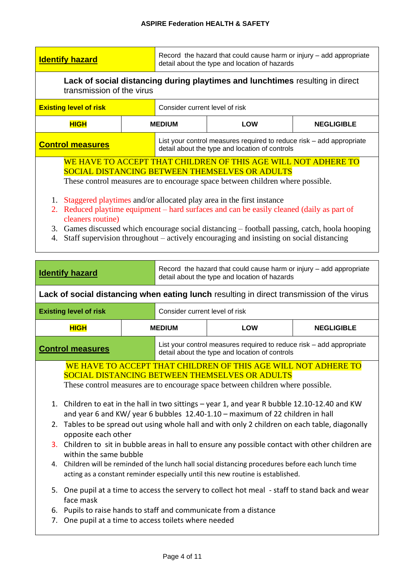| <b>Identify hazard</b>                                                                                                                                                                                                                                                                                                                                                                           |  | Record the hazard that could cause harm or injury – add appropriate<br>detail about the type and location of hazards |                                                                                                                        |                   |  |
|--------------------------------------------------------------------------------------------------------------------------------------------------------------------------------------------------------------------------------------------------------------------------------------------------------------------------------------------------------------------------------------------------|--|----------------------------------------------------------------------------------------------------------------------|------------------------------------------------------------------------------------------------------------------------|-------------------|--|
| Lack of social distancing during playtimes and lunchtimes resulting in direct<br>transmission of the virus                                                                                                                                                                                                                                                                                       |  |                                                                                                                      |                                                                                                                        |                   |  |
| Consider current level of risk<br><b>Existing level of risk</b>                                                                                                                                                                                                                                                                                                                                  |  |                                                                                                                      |                                                                                                                        |                   |  |
| <b>HIGH</b>                                                                                                                                                                                                                                                                                                                                                                                      |  | <b>LOW</b><br><b>MEDIUM</b>                                                                                          |                                                                                                                        | <b>NEGLIGIBLE</b> |  |
| <b>Control measures</b>                                                                                                                                                                                                                                                                                                                                                                          |  |                                                                                                                      | List your control measures required to reduce risk – add appropriate<br>detail about the type and location of controls |                   |  |
| WE HAVE TO ACCEPT THAT CHILDREN OF THIS AGE WILL NOT ADHERE TO<br><b>SOCIAL DISTANCING BETWEEN THEMSELVES OR ADULTS</b><br>These control measures are to encourage space between children where possible.                                                                                                                                                                                        |  |                                                                                                                      |                                                                                                                        |                   |  |
| Staggered playtimes and/or allocated play area in the first instance<br>1.<br>Reduced playtime equipment – hard surfaces and can be easily cleaned (daily as part of<br>2.<br>cleaners routine)<br>3. Games discussed which encourage social distancing – football passing, catch, hoola hooping<br>Staff supervision throughout – actively encouraging and insisting on social distancing<br>4. |  |                                                                                                                      |                                                                                                                        |                   |  |

| <b>Identify hazard</b> |
|------------------------|

Record the hazard that could cause harm or injury – add appropriate detail about the type and location of hazards

**Lack of social distancing when eating lunch** resulting in direct transmission of the virus

| <b>Existing level of risk</b> | Consider current level of risk |                                                                                                                        |     |                   |
|-------------------------------|--------------------------------|------------------------------------------------------------------------------------------------------------------------|-----|-------------------|
| <b>HIGH</b>                   |                                | <b>MEDIUM</b>                                                                                                          | LOW | <b>NEGLIGIBLE</b> |
| <b>Control measures</b>       |                                | List your control measures required to reduce risk – add appropriate<br>detail about the type and location of controls |     |                   |

WE HAVE TO ACCEPT THAT CHILDREN OF THIS AGE WILL NOT ADHERE TO SOCIAL DISTANCING BETWEEN THEMSELVES OR ADULTS

These control measures are to encourage space between children where possible.

- 1. Children to eat in the hall in two sittings year 1, and year R bubble 12.10-12.40 and KW and year 6 and KW/ year 6 bubbles 12.40-1.10 – maximum of 22 children in hall
- 2. Tables to be spread out using whole hall and with only 2 children on each table, diagonally opposite each other
- 3. Children to sit in bubble areas in hall to ensure any possible contact with other children are within the same bubble
- 4. Children will be reminded of the lunch hall social distancing procedures before each lunch time acting as a constant reminder especially until this new routine is established.
- 5. One pupil at a time to access the servery to collect hot meal staff to stand back and wear face mask
- 6. Pupils to raise hands to staff and communicate from a distance
- 7. One pupil at a time to access toilets where needed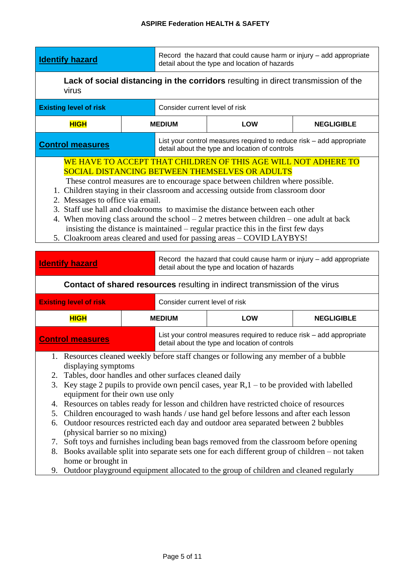| <b>Identify hazard</b> |  |
|------------------------|--|

Record the hazard that could cause harm or injury – add appropriate detail about the type and location of hazards

**Lack of social distancing in the corridors** resulting in direct transmission of the virus

| <b>Existing level of risk</b> | Consider current level of risk                                                                                         |            |                   |
|-------------------------------|------------------------------------------------------------------------------------------------------------------------|------------|-------------------|
| <b>HIGH</b>                   | <b>MEDIUM</b>                                                                                                          | <b>LOW</b> | <b>NEGLIGIBLE</b> |
| <b>Control measures</b>       | List your control measures required to reduce risk - add appropriate<br>detail about the type and location of controls |            |                   |

## WE HAVE TO ACCEPT THAT CHILDREN OF THIS AGE WILL NOT ADHERE TO SOCIAL DISTANCING BETWEEN THEMSELVES OR ADULTS

These control measures are to encourage space between children where possible.

- 1. Children staying in their classroom and accessing outside from classroom door
- 2. Messages to office via email.
- 3. Staff use hall and cloakrooms to maximise the distance between each other
- 4. When moving class around the school 2 metres between children one adult at back insisting the distance is maintained – regular practice this in the first few days
- 5. Cloakroom areas cleared and used for passing areas COVID LAYBYS!

| <b>Identify hazard</b>                                                                                                                                                                                                                                                                                                                                                                                                                                                                                                                                                                                                                                                                                                                                                                                                                                                                                                                                                     | Record the hazard that could cause harm or injury - add appropriate<br>detail about the type and location of hazards |                                                                                                                        |                   |  |  |  |
|----------------------------------------------------------------------------------------------------------------------------------------------------------------------------------------------------------------------------------------------------------------------------------------------------------------------------------------------------------------------------------------------------------------------------------------------------------------------------------------------------------------------------------------------------------------------------------------------------------------------------------------------------------------------------------------------------------------------------------------------------------------------------------------------------------------------------------------------------------------------------------------------------------------------------------------------------------------------------|----------------------------------------------------------------------------------------------------------------------|------------------------------------------------------------------------------------------------------------------------|-------------------|--|--|--|
|                                                                                                                                                                                                                                                                                                                                                                                                                                                                                                                                                                                                                                                                                                                                                                                                                                                                                                                                                                            | <b>Contact of shared resources</b> resulting in indirect transmission of the virus                                   |                                                                                                                        |                   |  |  |  |
| <b>Existing level of risk</b>                                                                                                                                                                                                                                                                                                                                                                                                                                                                                                                                                                                                                                                                                                                                                                                                                                                                                                                                              |                                                                                                                      | Consider current level of risk                                                                                         |                   |  |  |  |
| <b>HIGH</b>                                                                                                                                                                                                                                                                                                                                                                                                                                                                                                                                                                                                                                                                                                                                                                                                                                                                                                                                                                | <b>MEDIUM</b>                                                                                                        | <b>LOW</b>                                                                                                             | <b>NEGLIGIBLE</b> |  |  |  |
| <b>Control measures</b>                                                                                                                                                                                                                                                                                                                                                                                                                                                                                                                                                                                                                                                                                                                                                                                                                                                                                                                                                    |                                                                                                                      | List your control measures required to reduce risk – add appropriate<br>detail about the type and location of controls |                   |  |  |  |
| 1. Resources cleaned weekly before staff changes or following any member of a bubble<br>displaying symptoms<br>2. Tables, door handles and other surfaces cleaned daily<br>Key stage 2 pupils to provide own pencil cases, year $R$ , $1 -$ to be provided with labelled<br>3.<br>equipment for their own use only<br>Resources on tables ready for lesson and children have restricted choice of resources<br>4.<br>Children encouraged to wash hands / use hand gel before lessons and after each lesson<br>5.<br>Outdoor resources restricted each day and outdoor area separated between 2 bubbles<br>6.<br>(physical barrier so no mixing)<br>Soft toys and furnishes including bean bags removed from the classroom before opening<br>7.<br>Books available split into separate sets one for each different group of children – not taken<br>8.<br>home or brought in<br>Outdoor playground equipment allocated to the group of children and cleaned regularly<br>9. |                                                                                                                      |                                                                                                                        |                   |  |  |  |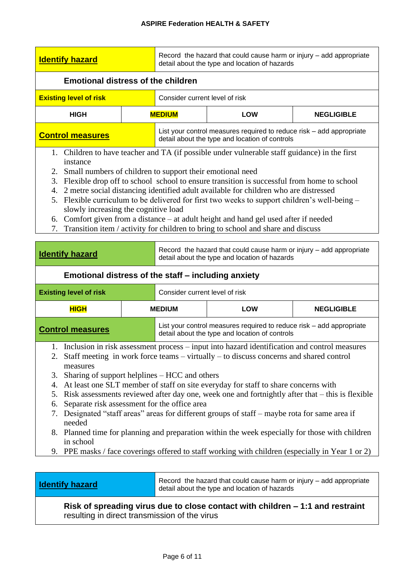| <b>Identify hazard</b>                                                                                                                                                                                                                                                                                                                                                                                                                                                                                                                                                                                                                                                                                                                                                                                                                                          |                                                                                                                      | Record the hazard that could cause harm or injury - add appropriate<br>detail about the type and location of hazards |                                                                                                                        |                   |  |  |
|-----------------------------------------------------------------------------------------------------------------------------------------------------------------------------------------------------------------------------------------------------------------------------------------------------------------------------------------------------------------------------------------------------------------------------------------------------------------------------------------------------------------------------------------------------------------------------------------------------------------------------------------------------------------------------------------------------------------------------------------------------------------------------------------------------------------------------------------------------------------|----------------------------------------------------------------------------------------------------------------------|----------------------------------------------------------------------------------------------------------------------|------------------------------------------------------------------------------------------------------------------------|-------------------|--|--|
| <b>Emotional distress of the children</b>                                                                                                                                                                                                                                                                                                                                                                                                                                                                                                                                                                                                                                                                                                                                                                                                                       |                                                                                                                      |                                                                                                                      |                                                                                                                        |                   |  |  |
| <b>Existing level of risk</b>                                                                                                                                                                                                                                                                                                                                                                                                                                                                                                                                                                                                                                                                                                                                                                                                                                   |                                                                                                                      | Consider current level of risk                                                                                       |                                                                                                                        |                   |  |  |
| <b>HIGH</b>                                                                                                                                                                                                                                                                                                                                                                                                                                                                                                                                                                                                                                                                                                                                                                                                                                                     |                                                                                                                      | <b>MEDIUM</b>                                                                                                        | <b>LOW</b><br><b>NEGLIGIBLE</b>                                                                                        |                   |  |  |
| <b>Control measures</b>                                                                                                                                                                                                                                                                                                                                                                                                                                                                                                                                                                                                                                                                                                                                                                                                                                         |                                                                                                                      |                                                                                                                      | List your control measures required to reduce risk – add appropriate<br>detail about the type and location of controls |                   |  |  |
| 1. Children to have teacher and TA (if possible under vulnerable staff guidance) in the first<br>instance<br>2. Small numbers of children to support their emotional need<br>Flexible drop off to school school to ensure transition is successful from home to school<br>3.<br>4. 2 metre social distancing identified adult available for children who are distressed<br>5. Flexible curriculum to be delivered for first two weeks to support children's well-being –<br>slowly increasing the cognitive load<br>6. Comfort given from a distance – at adult height and hand gel used after if needed<br>Transition item / activity for children to bring to school and share and discuss<br>7.                                                                                                                                                              |                                                                                                                      |                                                                                                                      |                                                                                                                        |                   |  |  |
| <b>Identify hazard</b>                                                                                                                                                                                                                                                                                                                                                                                                                                                                                                                                                                                                                                                                                                                                                                                                                                          | Record the hazard that could cause harm or injury - add appropriate<br>detail about the type and location of hazards |                                                                                                                      |                                                                                                                        |                   |  |  |
| Emotional distress of the staff - including anxiety                                                                                                                                                                                                                                                                                                                                                                                                                                                                                                                                                                                                                                                                                                                                                                                                             |                                                                                                                      |                                                                                                                      |                                                                                                                        |                   |  |  |
| <b>Existing level of risk</b>                                                                                                                                                                                                                                                                                                                                                                                                                                                                                                                                                                                                                                                                                                                                                                                                                                   |                                                                                                                      | Consider current level of risk                                                                                       |                                                                                                                        |                   |  |  |
| <b>HIGH</b>                                                                                                                                                                                                                                                                                                                                                                                                                                                                                                                                                                                                                                                                                                                                                                                                                                                     |                                                                                                                      | <b>MEDIUM</b>                                                                                                        | <b>LOW</b>                                                                                                             | <b>NEGLIGIBLE</b> |  |  |
| <b>Control measures</b>                                                                                                                                                                                                                                                                                                                                                                                                                                                                                                                                                                                                                                                                                                                                                                                                                                         |                                                                                                                      |                                                                                                                      | List your control measures required to reduce risk – add appropriate<br>detail about the type and location of controls |                   |  |  |
| 1. Inclusion in risk assessment process – input into hazard identification and control measures<br>2. Staff meeting in work force teams – virtually – to discuss concerns and shared control<br>measures<br>Sharing of support helplines – HCC and others<br>3.<br>At least one SLT member of staff on site everyday for staff to share concerns with<br>4.<br>Risk assessments reviewed after day one, week one and fortnightly after that – this is flexible<br>5.<br>Separate risk assessment for the office area<br>6.<br>Designated "staff areas" areas for different groups of staff - maybe rota for same area if<br>7.<br>needed<br>8. Planned time for planning and preparation within the week especially for those with children<br>in school<br>PPE masks / face coverings offered to staff working with children (especially in Year 1 or 2)<br>9. |                                                                                                                      |                                                                                                                      |                                                                                                                        |                   |  |  |

**Identify hazard** Record the hazard that could cause harm or injury – add appropriate detail about the type and location of hazards

## **Risk of spreading virus due to close contact with children – 1:1 and restraint** resulting in direct transmission of the virus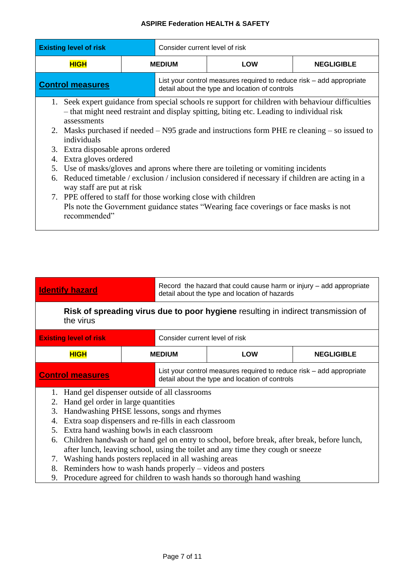| <b>Existing level of risk</b>                                                                                                                                                                               | Consider current level of risk                                                                                         |                                                                                                                                                                                                                                                                                                                                                                                                                                                                                                                                                                          |  |  |  |
|-------------------------------------------------------------------------------------------------------------------------------------------------------------------------------------------------------------|------------------------------------------------------------------------------------------------------------------------|--------------------------------------------------------------------------------------------------------------------------------------------------------------------------------------------------------------------------------------------------------------------------------------------------------------------------------------------------------------------------------------------------------------------------------------------------------------------------------------------------------------------------------------------------------------------------|--|--|--|
| <b>HIGH</b>                                                                                                                                                                                                 | <b>MEDIUM</b><br><b>LOW</b><br><b>NEGLIGIBLE</b>                                                                       |                                                                                                                                                                                                                                                                                                                                                                                                                                                                                                                                                                          |  |  |  |
| <b>Control measures</b>                                                                                                                                                                                     | List your control measures required to reduce risk – add appropriate<br>detail about the type and location of controls |                                                                                                                                                                                                                                                                                                                                                                                                                                                                                                                                                                          |  |  |  |
| 1.<br>assessments<br>individuals<br>Extra disposable aprons ordered<br>3.<br>Extra gloves ordered<br>4.<br>5.<br>way staff are put at risk<br>7. PPE offered to staff for those working close with children |                                                                                                                        | Seek expert guidance from special schools re support for children with behaviour difficulties<br>- that might need restraint and display spitting, biting etc. Leading to individual risk<br>2. Masks purchased if needed – N95 grade and instructions form PHE re cleaning – so issued to<br>Use of masks/gloves and aprons where there are toileting or vomiting incidents<br>6. Reduced timetable / exclusion / inclusion considered if necessary if children are acting in a<br>Pls note the Government guidance states "Wearing face coverings or face masks is not |  |  |  |

**Identify hazard** Record the hazard that could cause harm or injury – add appropriate detail about the type and location of hazards

**Risk of spreading virus due to poor hygiene** resulting in indirect transmission of the virus

| <b>Existing level of risk</b> |               | Consider current level of risk                                                                                         |     |                   |
|-------------------------------|---------------|------------------------------------------------------------------------------------------------------------------------|-----|-------------------|
| <b>HIGH</b>                   | <b>MEDIUM</b> |                                                                                                                        | LOW | <b>NEGLIGIBLE</b> |
| <b>Control measures</b>       |               | List your control measures required to reduce risk - add appropriate<br>detail about the type and location of controls |     |                   |

- 1. Hand gel dispenser outside of all classrooms
- 2. Hand gel order in large quantities
- 3. Handwashing PHSE lessons, songs and rhymes
- 4. Extra soap dispensers and re-fills in each classroom
- 5. Extra hand washing bowls in each classroom
- 6. Children handwash or hand gel on entry to school, before break, after break, before lunch, after lunch, leaving school, using the toilet and any time they cough or sneeze
- 7. Washing hands posters replaced in all washing areas
- 8. Reminders how to wash hands properly videos and posters
- 9. Procedure agreed for children to wash hands so thorough hand washing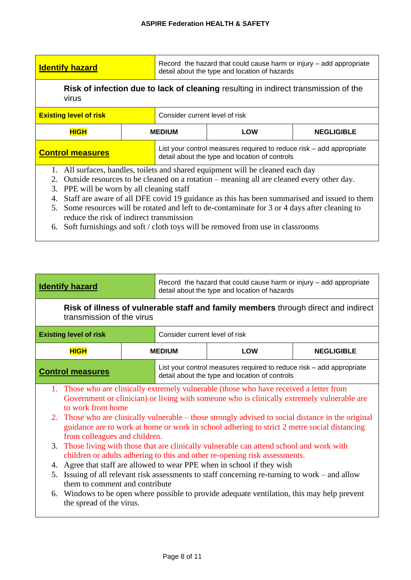| <b>Identify hazard</b>                                                                              | Record the hazard that could cause harm or injury – add appropriate<br>detail about the type and location of hazards |
|-----------------------------------------------------------------------------------------------------|----------------------------------------------------------------------------------------------------------------------|
| Risk of infection due to lack of cleaning resulting in indirect transmission of the<br><b>VIIUS</b> |                                                                                                                      |

| <b>Existing level of risk</b> |               | Consider current level of risk |                                                                                                                        |                   |
|-------------------------------|---------------|--------------------------------|------------------------------------------------------------------------------------------------------------------------|-------------------|
| <b>HIGH</b>                   | <b>MEDIUM</b> |                                | LOW                                                                                                                    | <b>NEGLIGIBLE</b> |
| <b>Control measures</b>       |               |                                | List your control measures required to reduce risk – add appropriate<br>detail about the type and location of controls |                   |

- 1. All surfaces, handles, toilets and shared equipment will be cleaned each day
- 2. Outside resources to be cleaned on a rotation meaning all are cleaned every other day.
- 3. PPE will be worn by all cleaning staff
- 4. Staff are aware of all DFE covid 19 guidance as this has been summarised and issued to them
- 5. Some resources will be rotated and left to de-contaminate for 3 or 4 days after cleaning to reduce the risk of indirect transmission
- 6. Soft furnishings and soft / cloth toys will be removed from use in classrooms

| Record the hazard that could cause harm or injury - add appropriate<br><b>Identify hazard</b><br>detail about the type and location of hazards |                                |  |                                                |                                                                      |
|------------------------------------------------------------------------------------------------------------------------------------------------|--------------------------------|--|------------------------------------------------|----------------------------------------------------------------------|
| Risk of illness of vulnerable staff and family members through direct and indirect<br>transmission of the virus                                |                                |  |                                                |                                                                      |
| <b>Existing level of risk</b>                                                                                                                  | Consider current level of risk |  |                                                |                                                                      |
| <b>HIGH</b>                                                                                                                                    | <b>MEDIUM</b>                  |  | LOW                                            | <b>NEGLIGIBLE</b>                                                    |
| <b>Control measures</b>                                                                                                                        |                                |  | detail about the type and location of controls | List your control measures required to reduce risk – add appropriate |

- 1. Those who are clinically extremely vulnerable (those who have received a letter from Government or clinician) or living with someone who is clinically extremely vulnerable are to work from home
- 2. Those who are clinically vulnerable those strongly advised to social distance in the original guidance are to work at home or work in school adhering to strict 2 metre social distancing from colleagues and children.
- 3. Those living with those that are clinically vulnerable can attend school and work with children or adults adhering to this and other re-opening risk assessments.
- 4. Agree that staff are allowed to wear PPE when in school if they wish
- 5. Issuing of all relevant risk assessments to staff concerning re-turning to work and allow them to comment and contribute
- 6. Windows to be open where possible to provide adequate ventilation, this may help prevent the spread of the virus.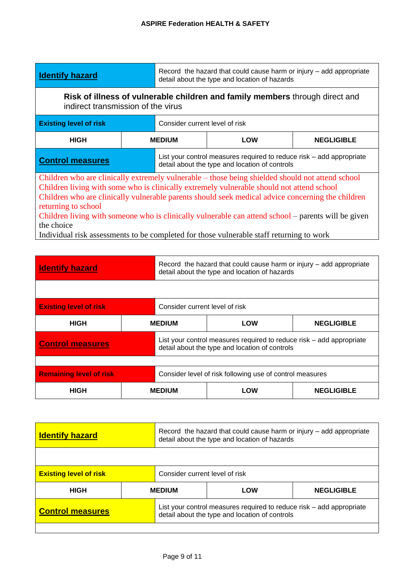| <b>Identify hazard</b>                                                                                                                                                                                                                                                                                                                                                                                                                                                                                                                     |                                                                                                                        | Record the hazard that could cause harm or injury – add appropriate<br>detail about the type and location of hazards |                   |
|--------------------------------------------------------------------------------------------------------------------------------------------------------------------------------------------------------------------------------------------------------------------------------------------------------------------------------------------------------------------------------------------------------------------------------------------------------------------------------------------------------------------------------------------|------------------------------------------------------------------------------------------------------------------------|----------------------------------------------------------------------------------------------------------------------|-------------------|
| Risk of illness of vulnerable children and family members through direct and<br>indirect transmission of the virus                                                                                                                                                                                                                                                                                                                                                                                                                         |                                                                                                                        |                                                                                                                      |                   |
| <b>Existing level of risk</b>                                                                                                                                                                                                                                                                                                                                                                                                                                                                                                              | Consider current level of risk                                                                                         |                                                                                                                      |                   |
| <b>HIGH</b>                                                                                                                                                                                                                                                                                                                                                                                                                                                                                                                                | <b>LOW</b><br><b>MEDIUM</b>                                                                                            |                                                                                                                      | <b>NEGLIGIBLE</b> |
| <b>Control measures</b>                                                                                                                                                                                                                                                                                                                                                                                                                                                                                                                    | List your control measures required to reduce risk – add appropriate<br>detail about the type and location of controls |                                                                                                                      |                   |
| Children who are clinically extremely vulnerable – those being shielded should not attend school<br>Children living with some who is clinically extremely vulnerable should not attend school<br>Children who are clinically vulnerable parents should seek medical advice concerning the children<br>returning to school<br>Children living with someone who is clinically vulnerable can attend school – parents will be given<br>the choice<br>Individual risk assessments to be completed for those vulnerable staff returning to work |                                                                                                                        |                                                                                                                      |                   |

| <b>Identify hazard</b>         |               | Record the hazard that could cause harm or injury – add appropriate<br>detail about the type and location of hazards |                                                                                                                        |                   |
|--------------------------------|---------------|----------------------------------------------------------------------------------------------------------------------|------------------------------------------------------------------------------------------------------------------------|-------------------|
|                                |               |                                                                                                                      |                                                                                                                        |                   |
| <b>Existing level of risk</b>  |               | Consider current level of risk                                                                                       |                                                                                                                        |                   |
| <b>HIGH</b>                    |               | <b>MEDIUM</b>                                                                                                        | <b>LOW</b>                                                                                                             | <b>NEGLIGIBLE</b> |
| <b>Control measures</b>        |               |                                                                                                                      | List your control measures required to reduce risk – add appropriate<br>detail about the type and location of controls |                   |
|                                |               |                                                                                                                      |                                                                                                                        |                   |
| <b>Remaining level of risk</b> |               |                                                                                                                      | Consider level of risk following use of control measures                                                               |                   |
| <b>HIGH</b>                    | <b>MEDIUM</b> |                                                                                                                      | LOW                                                                                                                    | <b>NEGLIGIBLE</b> |

| <b>Identify hazard</b>        |  | Record the hazard that could cause harm or injury – add appropriate<br>detail about the type and location of hazards   |     |                   |
|-------------------------------|--|------------------------------------------------------------------------------------------------------------------------|-----|-------------------|
|                               |  |                                                                                                                        |     |                   |
| <b>Existing level of risk</b> |  | Consider current level of risk                                                                                         |     |                   |
| <b>HIGH</b>                   |  | <b>MEDIUM</b>                                                                                                          | LOW | <b>NEGLIGIBLE</b> |
| <b>Control measures</b>       |  | List your control measures required to reduce risk – add appropriate<br>detail about the type and location of controls |     |                   |
|                               |  |                                                                                                                        |     |                   |